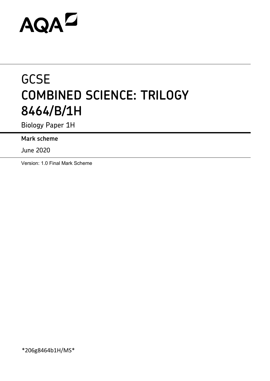# AQAZ

# **GCSE COMBINED SCIENCE: TRILOGY 8464/B/1H**

Biology Paper 1H

**Mark scheme**

June 2020

Version: 1.0 Final Mark Scheme

\*206g8464b1H/MS\*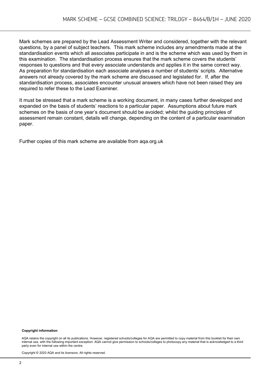Mark schemes are prepared by the Lead Assessment Writer and considered, together with the relevant questions, by a panel of subject teachers. This mark scheme includes any amendments made at the standardisation events which all associates participate in and is the scheme which was used by them in this examination. The standardisation process ensures that the mark scheme covers the students' responses to questions and that every associate understands and applies it in the same correct way. As preparation for standardisation each associate analyses a number of students' scripts. Alternative answers not already covered by the mark scheme are discussed and legislated for. If, after the standardisation process, associates encounter unusual answers which have not been raised they are required to refer these to the Lead Examiner.

It must be stressed that a mark scheme is a working document, in many cases further developed and expanded on the basis of students' reactions to a particular paper. Assumptions about future mark schemes on the basis of one year's document should be avoided; whilst the guiding principles of assessment remain constant, details will change, depending on the content of a particular examination paper.

Further copies of this mark scheme are available from aqa.org.uk

#### **Copyright information**

AQA retains the copyright on all its publications. However, registered schools/colleges for AQA are permitted to copy material from this booklet for their own internal use, with the following important exception: AQA cannot give permission to schools/colleges to photocopy any material that is acknowledged to a third party even for internal use within the centre.

Copyright © 2020 AQA and its licensors. All rights reserved.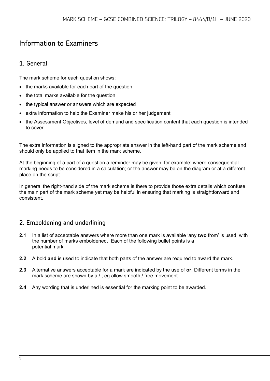# Information to Examiners

# 1. General

The mark scheme for each question shows:

- the marks available for each part of the question
- the total marks available for the question
- the typical answer or answers which are expected
- extra information to help the Examiner make his or her judgement
- the Assessment Objectives, level of demand and specification content that each question is intended to cover.

The extra information is aligned to the appropriate answer in the left-hand part of the mark scheme and should only be applied to that item in the mark scheme.

At the beginning of a part of a question a reminder may be given, for example: where consequential marking needs to be considered in a calculation; or the answer may be on the diagram or at a different place on the script.

In general the right-hand side of the mark scheme is there to provide those extra details which confuse the main part of the mark scheme yet may be helpful in ensuring that marking is straightforward and consistent.

# 2. Emboldening and underlining

- **2.1** In a list of acceptable answers where more than one mark is available 'any **two** from' is used, with the number of marks emboldened. Each of the following bullet points is a potential mark.
- **2.2** A bold **and** is used to indicate that both parts of the answer are required to award the mark.
- **2.3** Alternative answers acceptable for a mark are indicated by the use of **or**. Different terms in the mark scheme are shown by a / ; eg allow smooth / free movement.
- **2.4** Any wording that is underlined is essential for the marking point to be awarded.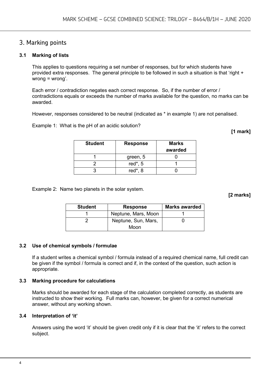## 3. Marking points

#### **3.1 Marking of lists**

This applies to questions requiring a set number of responses, but for which students have provided extra responses. The general principle to be followed in such a situation is that 'right + wrong = wrong'.

Each error / contradiction negates each correct response. So, if the number of error / contradictions equals or exceeds the number of marks available for the question, no marks can be awarded.

However, responses considered to be neutral (indicated as \* in example 1) are not penalised.

Example 1: What is the pH of an acidic solution?

**[1 mark]**

| <b>Student</b> | <b>Response</b> | <b>Marks</b><br>awarded |
|----------------|-----------------|-------------------------|
|                | green, 5        |                         |
|                | red $*$ , 5     |                         |
|                | red $*$ , 8     |                         |

Example 2: Name two planets in the solar system.

**[2 marks]**

| <b>Student</b> | <b>Response</b>     | <b>Marks awarded</b> |  |
|----------------|---------------------|----------------------|--|
|                | Neptune, Mars, Moon |                      |  |
|                | Neptune, Sun, Mars, |                      |  |
|                | Moon                |                      |  |

#### **3.2 Use of chemical symbols / formulae**

If a student writes a chemical symbol / formula instead of a required chemical name, full credit can be given if the symbol / formula is correct and if, in the context of the question, such action is appropriate.

#### **3.3 Marking procedure for calculations**

Marks should be awarded for each stage of the calculation completed correctly, as students are instructed to show their working. Full marks can, however, be given for a correct numerical answer, without any working shown.

#### **3.4 Interpretation of 'it'**

Answers using the word 'it' should be given credit only if it is clear that the 'it' refers to the correct subject.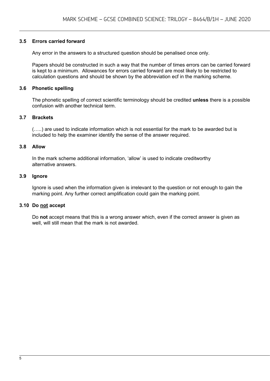#### **3.5 Errors carried forward**

Any error in the answers to a structured question should be penalised once only.

Papers should be constructed in such a way that the number of times errors can be carried forward is kept to a minimum. Allowances for errors carried forward are most likely to be restricted to calculation questions and should be shown by the abbreviation ecf in the marking scheme.

#### **3.6 Phonetic spelling**

The phonetic spelling of correct scientific terminology should be credited **unless** there is a possible confusion with another technical term.

#### **3.7 Brackets**

(…..) are used to indicate information which is not essential for the mark to be awarded but is included to help the examiner identify the sense of the answer required.

#### **3.8 Allow**

In the mark scheme additional information, 'allow' is used to indicate creditworthy alternative answers.

#### **3.9 Ignore**

Ignore is used when the information given is irrelevant to the question or not enough to gain the marking point. Any further correct amplification could gain the marking point.

#### **3.10 Do not accept**

Do **not** accept means that this is a wrong answer which, even if the correct answer is given as well, will still mean that the mark is not awarded.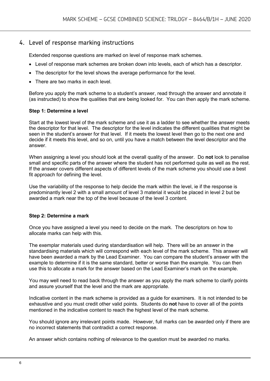### 4. Level of response marking instructions

Extended response questions are marked on level of response mark schemes.

- Level of response mark schemes are broken down into levels, each of which has a descriptor.
- The descriptor for the level shows the average performance for the level.
- There are two marks in each level

Before you apply the mark scheme to a student's answer, read through the answer and annotate it (as instructed) to show the qualities that are being looked for. You can then apply the mark scheme.

#### **Step 1: Determine a level**

Start at the lowest level of the mark scheme and use it as a ladder to see whether the answer meets the descriptor for that level. The descriptor for the level indicates the different qualities that might be seen in the student's answer for that level. If it meets the lowest level then go to the next one and decide if it meets this level, and so on, until you have a match between the level descriptor and the answer.

When assigning a level you should look at the overall quality of the answer. Do **not** look to penalise small and specific parts of the answer where the student has not performed quite as well as the rest. If the answer covers different aspects of different levels of the mark scheme you should use a best fit approach for defining the level.

Use the variability of the response to help decide the mark within the level, ie if the response is predominantly level 2 with a small amount of level 3 material it would be placed in level 2 but be awarded a mark near the top of the level because of the level 3 content.

#### **Step 2: Determine a mark**

Once you have assigned a level you need to decide on the mark. The descriptors on how to allocate marks can help with this.

The exemplar materials used during standardisation will help. There will be an answer in the standardising materials which will correspond with each level of the mark scheme. This answer will have been awarded a mark by the Lead Examiner. You can compare the student's answer with the example to determine if it is the same standard, better or worse than the example. You can then use this to allocate a mark for the answer based on the Lead Examiner's mark on the example.

You may well need to read back through the answer as you apply the mark scheme to clarify points and assure yourself that the level and the mark are appropriate.

Indicative content in the mark scheme is provided as a guide for examiners. It is not intended to be exhaustive and you must credit other valid points. Students do **not** have to cover all of the points mentioned in the indicative content to reach the highest level of the mark scheme.

You should ignore any irrelevant points made. However, full marks can be awarded only if there are no incorrect statements that contradict a correct response.

An answer which contains nothing of relevance to the question must be awarded no marks.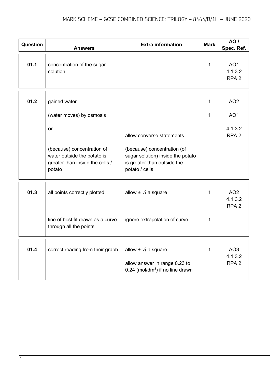| Question | <b>Answers</b>                                                                                         | <b>Extra information</b>                                                                                            | <b>Mark</b> | <b>AO</b> /<br>Spec. Ref.                      |
|----------|--------------------------------------------------------------------------------------------------------|---------------------------------------------------------------------------------------------------------------------|-------------|------------------------------------------------|
| 01.1     | concentration of the sugar<br>solution                                                                 |                                                                                                                     | 1           | AO <sub>1</sub><br>4.1.3.2<br>RPA <sub>2</sub> |
| 01.2     | gained water                                                                                           |                                                                                                                     | 1           | AO <sub>2</sub>                                |
|          | (water moves) by osmosis                                                                               |                                                                                                                     | 1           | AO <sub>1</sub>                                |
|          | <b>or</b>                                                                                              | allow converse statements                                                                                           |             | 4.1.3.2<br>RPA <sub>2</sub>                    |
|          | (because) concentration of<br>water outside the potato is<br>greater than inside the cells /<br>potato | (because) concentration (of<br>sugar solution) inside the potato<br>is greater than outside the<br>potato / cells   |             |                                                |
| 01.3     | all points correctly plotted                                                                           | allow $\pm \frac{1}{2}$ a square                                                                                    | 1           | AO <sub>2</sub><br>4.1.3.2<br>RPA <sub>2</sub> |
|          | line of best fit drawn as a curve<br>through all the points                                            | ignore extrapolation of curve                                                                                       | 1           |                                                |
| 01.4     | correct reading from their graph                                                                       | allow $\pm \frac{1}{2}$ a square<br>allow answer in range 0.23 to<br>$0.24$ (mol/dm <sup>3</sup> ) if no line drawn | 1           | AO <sub>3</sub><br>4.1.3.2<br>RPA <sub>2</sub> |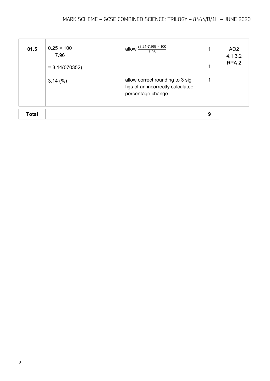| 01.5         | $0.25 \times 100$<br>7.96<br>$= 3.14(070352)$<br>$3.14\ (%)$ | allow $\frac{(8.21-7.96)}{8}$ 100<br>7.96<br>allow correct rounding to 3 sig<br>figs of an incorrectly calculated<br>percentage change |   | AO <sub>2</sub><br>4.1.3.2<br>RPA <sub>2</sub> |
|--------------|--------------------------------------------------------------|----------------------------------------------------------------------------------------------------------------------------------------|---|------------------------------------------------|
| <b>Total</b> |                                                              |                                                                                                                                        | 9 |                                                |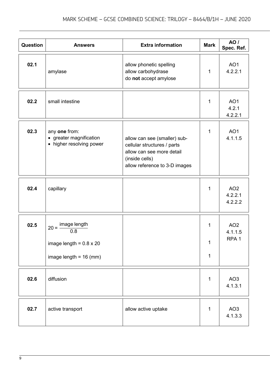| Question | <b>Answers</b>                                                                              | <b>Extra information</b>                                                                                                                    | <b>Mark</b>           | <b>AO</b> /<br>Spec. Ref.                      |
|----------|---------------------------------------------------------------------------------------------|---------------------------------------------------------------------------------------------------------------------------------------------|-----------------------|------------------------------------------------|
| 02.1     | amylase                                                                                     | allow phonetic spelling<br>allow carbohydrase<br>do not accept amylose                                                                      | 1                     | AO <sub>1</sub><br>4.2.2.1                     |
| 02.2     | small intestine                                                                             |                                                                                                                                             | $\mathbf 1$           | AO <sub>1</sub><br>4.2.1<br>4.2.2.1            |
| 02.3     | any one from:<br>• greater magnification<br>• higher resolving power                        | allow can see (smaller) sub-<br>cellular structures / parts<br>allow can see more detail<br>(inside cells)<br>allow reference to 3-D images | $\mathbf{1}$          | AO <sub>1</sub><br>4.1.1.5                     |
| 02.4     | capillary                                                                                   |                                                                                                                                             | 1                     | AO <sub>2</sub><br>4.2.2.1<br>4.2.2.2          |
| 02.5     | image length<br>$20 =$<br>0.8<br>image length = $0.8 \times 20$<br>image length = $16$ (mm) |                                                                                                                                             | 1<br>1<br>$\mathbf 1$ | AO <sub>2</sub><br>4.1.1.5<br>RPA <sub>1</sub> |
| 02.6     | diffusion                                                                                   |                                                                                                                                             | 1                     | AO <sub>3</sub><br>4.1.3.1                     |
| 02.7     | active transport                                                                            | allow active uptake                                                                                                                         | 1                     | AO <sub>3</sub><br>4.1.3.3                     |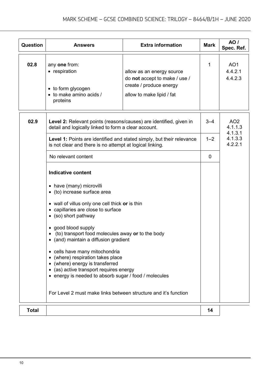| Question     | <b>Answers</b>                                                                                                                                                                                                                                                                                                                                                                                                                                                                                                                                                                                           | <b>Extra information</b>                                                                                           | <b>Mark</b> | AO /<br>Spec. Ref.                    |
|--------------|----------------------------------------------------------------------------------------------------------------------------------------------------------------------------------------------------------------------------------------------------------------------------------------------------------------------------------------------------------------------------------------------------------------------------------------------------------------------------------------------------------------------------------------------------------------------------------------------------------|--------------------------------------------------------------------------------------------------------------------|-------------|---------------------------------------|
| 02.8         | any one from:<br>• respiration<br>• to form glycogen<br>• to make amino acids /<br>proteins                                                                                                                                                                                                                                                                                                                                                                                                                                                                                                              | allow as an energy source<br>do not accept to make / use /<br>create / produce energy<br>allow to make lipid / fat | 1           | AO <sub>1</sub><br>4.4.2.1<br>4.4.2.3 |
| 02.9         | Level 2: Relevant points (reasons/causes) are identified, given in<br>detail and logically linked to form a clear account.                                                                                                                                                                                                                                                                                                                                                                                                                                                                               |                                                                                                                    | $3 - 4$     | AO <sub>2</sub><br>4.1.1.3<br>4.1.3.1 |
|              | is not clear and there is no attempt at logical linking.                                                                                                                                                                                                                                                                                                                                                                                                                                                                                                                                                 | Level 1: Points are identified and stated simply, but their relevance                                              | $1 - 2$     | 4.1.3.3<br>4.2.2.1                    |
|              | No relevant content                                                                                                                                                                                                                                                                                                                                                                                                                                                                                                                                                                                      |                                                                                                                    | 0           |                                       |
|              | <b>Indicative content</b><br>• have (many) microvilli<br>• (to) increase surface area<br>• wall of villus only one cell thick or is thin<br>• capillaries are close to surface<br>• (so) short pathway<br>• good blood supply<br>• (to) transport food molecules away or to the body<br>• (and) maintain a diffusion gradient<br>• cells have many mitochondria<br>(where) respiration takes place<br>(where) energy is transferred<br>(as) active transport requires energy<br>• energy is needed to absorb sugar / food / molecules<br>For Level 2 must make links between structure and it's function |                                                                                                                    |             |                                       |
| <b>Total</b> |                                                                                                                                                                                                                                                                                                                                                                                                                                                                                                                                                                                                          |                                                                                                                    | 14          |                                       |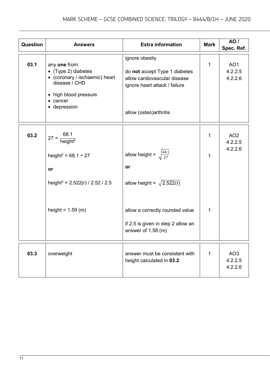| Question | <b>Answers</b>                                                                                                                               | <b>Extra information</b>                                                                                                                    | <b>Mark</b>  | <b>AO</b> /<br>Spec. Ref.             |
|----------|----------------------------------------------------------------------------------------------------------------------------------------------|---------------------------------------------------------------------------------------------------------------------------------------------|--------------|---------------------------------------|
| 03.1     | any one from:<br>• (Type 2) diabetes<br>• (coronary / ischaemic) heart<br>disease / CHD<br>• high blood pressure<br>• cancer<br>• depression | ignore obesity<br>do not accept Type 1 diabetes<br>allow cardiovascular disease<br>ignore heart attack / failure<br>allow (osteo) arthritis | $\mathbf{1}$ | AO <sub>1</sub><br>4.2.2.5<br>4.2.2.6 |
| 03.2     | $27 = \frac{68.1}{height^2}$                                                                                                                 |                                                                                                                                             | 1            | AO <sub>2</sub><br>4.2.2.5            |
|          | height <sup>2</sup> = 68.1 ÷ 27                                                                                                              | allow height = $\sqrt{\frac{68.1}{27}}$                                                                                                     | 1            | 4.2.2.6                               |
|          | or                                                                                                                                           | or                                                                                                                                          |              |                                       |
|          | height <sup>2</sup> = $2.522(r)$ / 2.52 / 2.5                                                                                                | allow height = $\sqrt{2.522(r)}$                                                                                                            |              |                                       |
|          | height = $1.59$ (m)                                                                                                                          | allow a correctly rounded value<br>if 2.5 is given in step 2 allow an<br>answer of 1.58 (m)                                                 | 1            |                                       |
| 03.3     | overweight                                                                                                                                   | answer must be consistent with<br>height calculated in 03.2                                                                                 | 1            | AO <sub>3</sub><br>4.2.2.5<br>4.2.2.6 |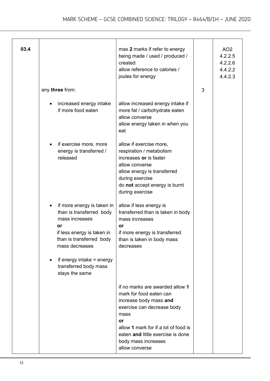| 03.4 |                                                                                                                                                                                                                                      | max 2 marks if refer to energy<br>being made / used / produced /<br>created<br>allow reference to calories /<br>joules for energy                                                                                                                      |   | AO <sub>2</sub><br>4.2.2.5<br>4.2.2.6<br>4.4.2.2<br>4.4.2.3 |
|------|--------------------------------------------------------------------------------------------------------------------------------------------------------------------------------------------------------------------------------------|--------------------------------------------------------------------------------------------------------------------------------------------------------------------------------------------------------------------------------------------------------|---|-------------------------------------------------------------|
|      | any three from:                                                                                                                                                                                                                      |                                                                                                                                                                                                                                                        | 3 |                                                             |
|      | increased energy intake<br>if more food eaten                                                                                                                                                                                        | allow increased energy intake if<br>more fat / carbohydrate eaten<br>allow converse<br>allow energy taken in when you<br>eat                                                                                                                           |   |                                                             |
|      | if exercise more, more<br>energy is transferred /<br>released                                                                                                                                                                        | allow if exercise more,<br>respiration / metabolism<br>increases or is faster<br>allow converse<br>allow energy is transferred<br>during exercise<br>do not accept energy is burnt<br>during exercise                                                  |   |                                                             |
|      | if more energy is taken in<br>than is transferred body<br>mass increases<br>or<br>if less energy is taken in<br>than is transferred body<br>mass decreases<br>if energy intake $=$ energy<br>transferred body mass<br>stays the same | allow if less energy is<br>transferred than is taken in body<br>mass increases<br>or<br>if more energy is transferred<br>than is taken in body mass<br>decreases                                                                                       |   |                                                             |
|      |                                                                                                                                                                                                                                      | if no marks are awarded allow 1<br>mark for food eaten can<br>increase body mass and<br>exercise can decrease body<br>mass<br>or<br>allow 1 mark for if a lot of food is<br>eaten and little exercise is done<br>body mass increases<br>allow converse |   |                                                             |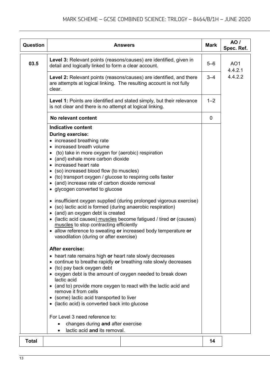| Question     | <b>Answers</b>                                                                                                                                                                                                                                                                                                                                                                                                                                                                                                                                                                                                                                                                                                                                                                                                                                                                                                                                                                                                                                                                                                                                                                                                                                                                                                                                                                                                          | <b>Mark</b> | <b>AO</b> /<br>Spec. Ref.  |
|--------------|-------------------------------------------------------------------------------------------------------------------------------------------------------------------------------------------------------------------------------------------------------------------------------------------------------------------------------------------------------------------------------------------------------------------------------------------------------------------------------------------------------------------------------------------------------------------------------------------------------------------------------------------------------------------------------------------------------------------------------------------------------------------------------------------------------------------------------------------------------------------------------------------------------------------------------------------------------------------------------------------------------------------------------------------------------------------------------------------------------------------------------------------------------------------------------------------------------------------------------------------------------------------------------------------------------------------------------------------------------------------------------------------------------------------------|-------------|----------------------------|
| 03.5         | Level 3: Relevant points (reasons/causes) are identified, given in<br>detail and logically linked to form a clear account.                                                                                                                                                                                                                                                                                                                                                                                                                                                                                                                                                                                                                                                                                                                                                                                                                                                                                                                                                                                                                                                                                                                                                                                                                                                                                              | $5 - 6$     | AO <sub>1</sub><br>4.4.2.1 |
|              | Level 2: Relevant points (reasons/causes) are identified, and there<br>are attempts at logical linking. The resulting account is not fully<br>clear.                                                                                                                                                                                                                                                                                                                                                                                                                                                                                                                                                                                                                                                                                                                                                                                                                                                                                                                                                                                                                                                                                                                                                                                                                                                                    | $3 - 4$     | 4.4.2.2                    |
|              | Level 1: Points are identified and stated simply, but their relevance<br>is not clear and there is no attempt at logical linking.                                                                                                                                                                                                                                                                                                                                                                                                                                                                                                                                                                                                                                                                                                                                                                                                                                                                                                                                                                                                                                                                                                                                                                                                                                                                                       | $1 - 2$     |                            |
|              | No relevant content                                                                                                                                                                                                                                                                                                                                                                                                                                                                                                                                                                                                                                                                                                                                                                                                                                                                                                                                                                                                                                                                                                                                                                                                                                                                                                                                                                                                     | 0           |                            |
|              | <b>Indicative content</b><br><b>During exercise:</b><br>• increased breathing rate<br>• increased breath volume<br>(to) take in more oxygen for (aerobic) respiration<br>• (and) exhale more carbon dioxide<br>• increased heart rate<br>• (so) increased blood flow (to muscles)<br>• (to) transport oxygen / glucose to respiring cells faster<br>• (and) increase rate of carbon dioxide removal<br>• glycogen converted to glucose<br>• insufficient oxygen supplied (during prolonged vigorous exercise)<br>• (so) lactic acid is formed (during anaerobic respiration)<br>• (and) an oxygen debt is created<br>• (lactic acid causes) muscles become fatigued / tired or (causes)<br>muscles to stop contracting efficiently<br>• allow reference to sweating or increased body temperature or<br>vasodilation (during or after exercise)<br><b>After exercise:</b><br>• heart rate remains high or heart rate slowly decreases<br>• continue to breathe rapidly or breathing rate slowly decreases<br>• (to) pay back oxygen debt<br>• oxygen debt is the amount of oxygen needed to break down<br>lactic acid<br>• (and to) provide more oxygen to react with the lactic acid and<br>remove it from cells<br>• (some) lactic acid transported to liver<br>• (lactic acid) is converted back into glucose<br>For Level 3 need reference to:<br>changes during and after exercise<br>lactic acid and its removal. |             |                            |
| <b>Total</b> |                                                                                                                                                                                                                                                                                                                                                                                                                                                                                                                                                                                                                                                                                                                                                                                                                                                                                                                                                                                                                                                                                                                                                                                                                                                                                                                                                                                                                         | 14          |                            |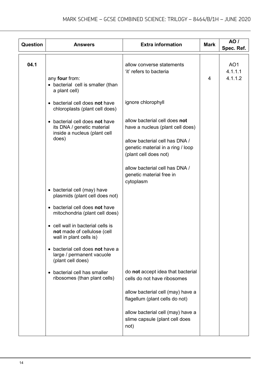| Question | <b>Answers</b>                                                                                        | <b>Extra information</b>                                                                                                                                          | <b>Mark</b> | <b>AO</b> /<br>Spec. Ref.             |
|----------|-------------------------------------------------------------------------------------------------------|-------------------------------------------------------------------------------------------------------------------------------------------------------------------|-------------|---------------------------------------|
| 04.1     | any four from:<br>• bacterial cell is smaller (than<br>a plant cell)                                  | allow converse statements<br>'it' refers to bacteria                                                                                                              | 4           | AO <sub>1</sub><br>4.1.1.1<br>4.1.1.2 |
|          | • bacterial cell does not have<br>chloroplasts (plant cell does)                                      | ignore chlorophyll                                                                                                                                                |             |                                       |
|          | • bacterial cell does not have<br>its DNA / genetic material<br>inside a nucleus (plant cell<br>does) | allow bacterial cell does not<br>have a nucleus (plant cell does)<br>allow bacterial cell has DNA /<br>genetic material in a ring / loop<br>(plant cell does not) |             |                                       |
|          |                                                                                                       | allow bacterial cell has DNA /<br>genetic material free in<br>cytoplasm                                                                                           |             |                                       |
|          | • bacterial cell (may) have<br>plasmids (plant cell does not)                                         |                                                                                                                                                                   |             |                                       |
|          | • bacterial cell does not have<br>mitochondria (plant cell does)                                      |                                                                                                                                                                   |             |                                       |
|          | • cell wall in bacterial cells is<br>not made of cellulose (cell<br>wall in plant cells is)           |                                                                                                                                                                   |             |                                       |
|          | bacterial cell does not have a<br>$\bullet$<br>large / permanent vacuole<br>(plant cell does)         |                                                                                                                                                                   |             |                                       |
|          | bacterial cell has smaller<br>ribosomes (than plant cells)                                            | do not accept idea that bacterial<br>cells do not have ribosomes                                                                                                  |             |                                       |
|          |                                                                                                       | allow bacterial cell (may) have a<br>flagellum (plant cells do not)                                                                                               |             |                                       |
|          |                                                                                                       | allow bacterial cell (may) have a<br>slime capsule (plant cell does<br>not)                                                                                       |             |                                       |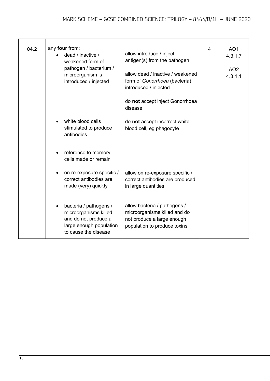| 04.2 | any four from:<br>dead / inactive /<br>weakened form of<br>pathogen / bacterium /<br>microorganism is<br>introduced / injected | allow introduce / inject<br>antigen(s) from the pathogen<br>allow dead / inactive / weakened<br>form of Gonorrhoea (bacteria)<br>introduced / injected<br>do not accept inject Gonorrhoea<br>disease | 4 | AO <sub>1</sub><br>4.3.1.7<br>AO <sub>2</sub><br>4.3.1.1 |
|------|--------------------------------------------------------------------------------------------------------------------------------|------------------------------------------------------------------------------------------------------------------------------------------------------------------------------------------------------|---|----------------------------------------------------------|
|      | white blood cells<br>stimulated to produce<br>antibodies                                                                       | do not accept incorrect white<br>blood cell, eg phagocyte                                                                                                                                            |   |                                                          |
|      | reference to memory<br>cells made or remain                                                                                    |                                                                                                                                                                                                      |   |                                                          |
|      | on re-exposure specific /<br>correct antibodies are<br>made (very) quickly                                                     | allow on re-exposure specific /<br>correct antibodies are produced<br>in large quantities                                                                                                            |   |                                                          |
|      | bacteria / pathogens /<br>microorganisms killed<br>and do not produce a<br>large enough population<br>to cause the disease     | allow bacteria / pathogens /<br>microorganisms killed and do<br>not produce a large enough<br>population to produce toxins                                                                           |   |                                                          |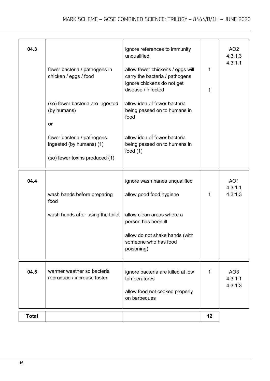| 04.3         | fewer bacteria / pathogens in<br>chicken / eggs / food<br>(so) fewer bacteria are ingested<br>(by humans)<br>or<br>fewer bacteria / pathogens<br>ingested (by humans) (1)<br>(so) fewer toxins produced (1) | ignore references to immunity<br>unqualified<br>allow fewer chickens / eggs will<br>carry the bacteria / pathogens<br>ignore chickens do not get<br>disease / infected<br>allow idea of fewer bacteria<br>being passed on to humans in<br>food<br>allow idea of fewer bacteria<br>being passed on to humans in<br>food $(1)$ | 1<br>1 | AO <sub>2</sub><br>4.3.1.3<br>4.3.1.1 |
|--------------|-------------------------------------------------------------------------------------------------------------------------------------------------------------------------------------------------------------|------------------------------------------------------------------------------------------------------------------------------------------------------------------------------------------------------------------------------------------------------------------------------------------------------------------------------|--------|---------------------------------------|
| 04.4         | wash hands before preparing<br>food<br>wash hands after using the toilet                                                                                                                                    | ignore wash hands unqualified<br>allow good food hygiene<br>allow clean areas where a<br>person has been ill<br>allow do not shake hands (with<br>someone who has food<br>poisoning)                                                                                                                                         | 1      | AO <sub>1</sub><br>4.3.1.1<br>4.3.1.3 |
| 04.5         | warmer weather so bacteria<br>reproduce / increase faster                                                                                                                                                   | ignore bacteria are killed at low<br>temperatures<br>allow food not cooked properly<br>on barbeques                                                                                                                                                                                                                          | 1      | AO <sub>3</sub><br>4.3.1.1<br>4.3.1.3 |
| <b>Total</b> |                                                                                                                                                                                                             |                                                                                                                                                                                                                                                                                                                              | 12     |                                       |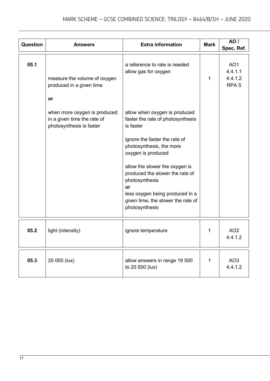| <b>Question</b> | <b>Answers</b>                                                                                                                                            | <b>Extra information</b>                                                                                                                                                                                                                                                                                                                                                                                            | <b>Mark</b>  | <b>AO</b> /<br>Spec. Ref.                                 |
|-----------------|-----------------------------------------------------------------------------------------------------------------------------------------------------------|---------------------------------------------------------------------------------------------------------------------------------------------------------------------------------------------------------------------------------------------------------------------------------------------------------------------------------------------------------------------------------------------------------------------|--------------|-----------------------------------------------------------|
| 05.1            | measure the volume of oxygen<br>produced in a given time<br>or<br>when more oxygen is produced<br>in a given time the rate of<br>photosynthesis is faster | a reference to rate is needed<br>allow gas for oxygen<br>allow when oxygen is produced<br>faster the rate of photosynthesis<br>is faster<br>ignore the faster the rate of<br>photosynthesis, the more<br>oxygen is produced<br>allow the slower the oxygen is<br>produced the slower the rate of<br>photosynthesis<br>or<br>less oxygen being produced in a<br>given time, the slower the rate of<br>photosynthesis | $\mathbf{1}$ | AO <sub>1</sub><br>4.4.1.1<br>4.4.1.2<br>RPA <sub>5</sub> |
| 05.2            | light (intensity)                                                                                                                                         | ignore temperature                                                                                                                                                                                                                                                                                                                                                                                                  | $\mathbf 1$  | AO <sub>2</sub><br>4.4.1.2                                |
| 05.3            | 20 000 (lux)                                                                                                                                              | allow answers in range 19 500<br>to 20 500 (lux)                                                                                                                                                                                                                                                                                                                                                                    | 1            | AO <sub>3</sub><br>4.4.1.2                                |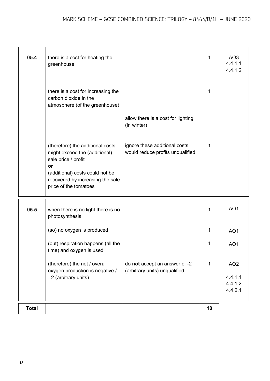| 05.4         | there is a cost for heating the<br>greenhouse                                                                                                                         |                                                                   | 1  | AO <sub>3</sub><br>4.4.1.1<br>4.4.1.2 |
|--------------|-----------------------------------------------------------------------------------------------------------------------------------------------------------------------|-------------------------------------------------------------------|----|---------------------------------------|
|              | there is a cost for increasing the<br>carbon dioxide in the<br>atmosphere (of the greenhouse)                                                                         |                                                                   | 1  |                                       |
|              |                                                                                                                                                                       | allow there is a cost for lighting<br>(in winter)                 |    |                                       |
|              | (therefore) the additional costs<br>might exceed the (additional)<br>sale price / profit<br>or<br>(additional) costs could not be<br>recovered by increasing the sale | ignore these additional costs<br>would reduce profits unqualified | 1  |                                       |
|              | price of the tomatoes                                                                                                                                                 |                                                                   |    |                                       |
| 05.5         | when there is no light there is no<br>photosynthesis                                                                                                                  |                                                                   | 1  | AO <sub>1</sub>                       |
|              | (so) no oxygen is produced                                                                                                                                            |                                                                   | 1  | AO <sub>1</sub>                       |
|              | (but) respiration happens (all the<br>time) and oxygen is used                                                                                                        |                                                                   | 1  | AO <sub>1</sub>                       |
|              | (therefore) the net / overall<br>oxygen production is negative /                                                                                                      | do not accept an answer of -2<br>(arbitrary units) unqualified    | 1  | AO <sub>2</sub>                       |
|              | - 2 (arbitrary units)                                                                                                                                                 |                                                                   |    | 4.4.1.1<br>4.4.1.2<br>4.4.2.1         |
| <b>Total</b> |                                                                                                                                                                       |                                                                   | 10 |                                       |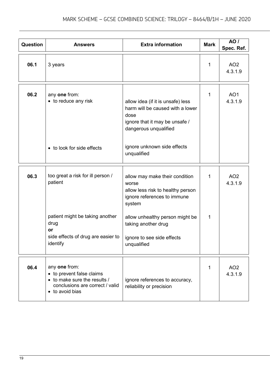| Question | <b>Answers</b>                                                                                                                                  | <b>Extra information</b>                                                                                                                                                                                                     | <b>Mark</b>  | AO /<br>Spec. Ref.         |
|----------|-------------------------------------------------------------------------------------------------------------------------------------------------|------------------------------------------------------------------------------------------------------------------------------------------------------------------------------------------------------------------------------|--------------|----------------------------|
| 06.1     | 3 years                                                                                                                                         |                                                                                                                                                                                                                              | $\mathbf{1}$ | AO <sub>2</sub><br>4.3.1.9 |
| 06.2     | any one from:<br>• to reduce any risk<br>• to look for side effects                                                                             | allow idea (if it is unsafe) less<br>harm will be caused with a lower<br>dose<br>ignore that it may be unsafe /<br>dangerous unqualified<br>ignore unknown side effects<br>unqualified                                       | 1            | AO <sub>1</sub><br>4.3.1.9 |
| 06.3     | too great a risk for ill person /<br>patient<br>patient might be taking another<br>drug<br>or<br>side effects of drug are easier to<br>identify | allow may make their condition<br>worse<br>allow less risk to healthy person<br>ignore references to immune<br>system<br>allow unhealthy person might be<br>taking another drug<br>ignore to see side effects<br>unqualified | 1<br>1       | AO <sub>2</sub><br>4.3.1.9 |
| 06.4     | any one from:<br>• to prevent false claims<br>• to make sure the results /<br>conclusions are correct / valid<br>• to avoid bias                | ignore references to accuracy,<br>reliability or precision                                                                                                                                                                   | 1            | AO <sub>2</sub><br>4.3.1.9 |